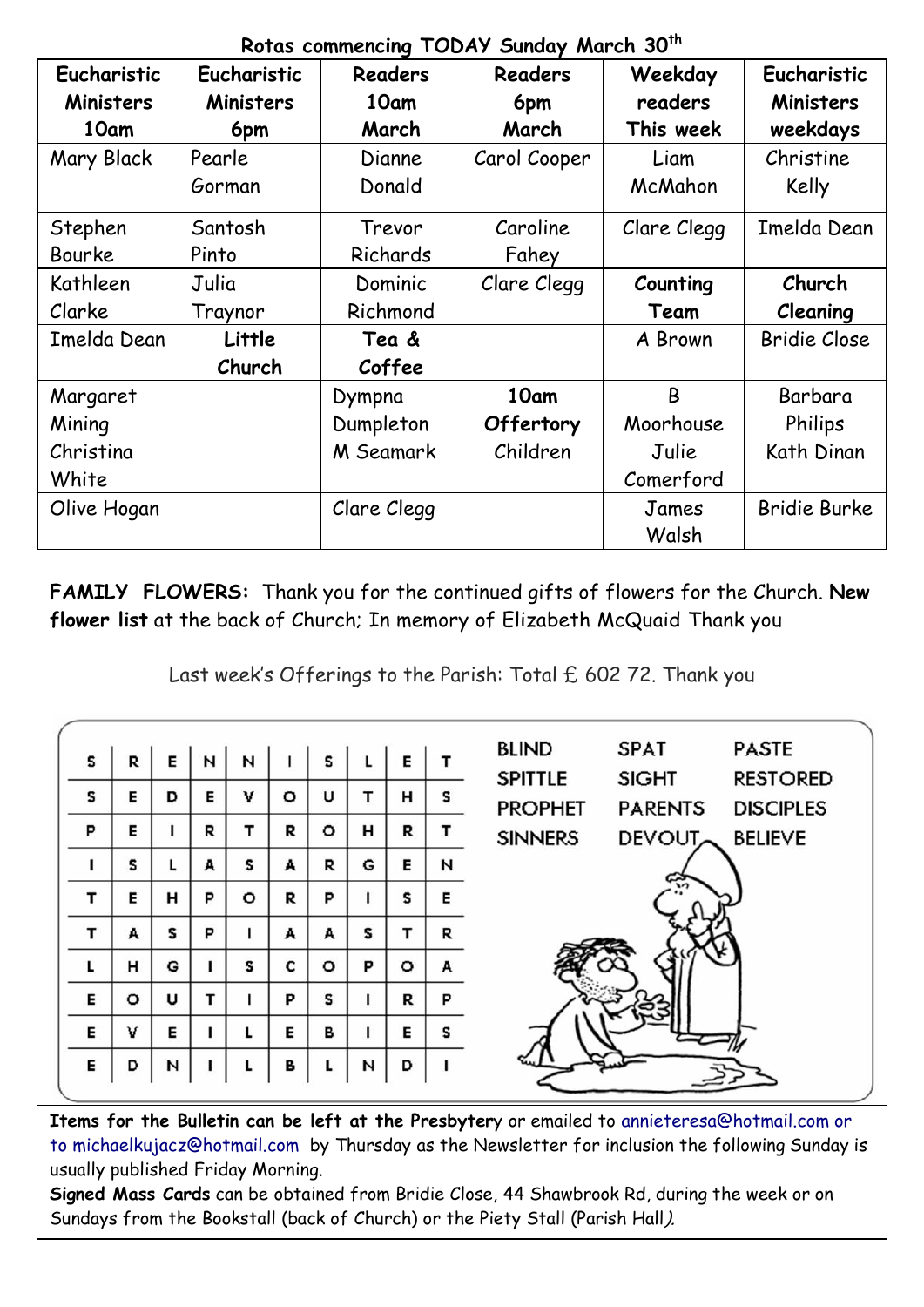|                  | verde commondial reports condationally and |             |                |             |                     |  |  |
|------------------|--------------------------------------------|-------------|----------------|-------------|---------------------|--|--|
| Eucharistic      | Eucharistic                                | Readers     | <b>Readers</b> | Weekday     | Eucharistic         |  |  |
| <b>Ministers</b> | <b>Ministers</b>                           | 10am        | 6pm            | readers     | <b>Ministers</b>    |  |  |
| 10am             | 6pm                                        | March       | March          | This week   | weekdays            |  |  |
| Mary Black       | Pearle                                     | Dianne      | Carol Cooper   | Liam        | Christine           |  |  |
|                  | Gorman                                     | Donald      |                | McMahon     | Kelly               |  |  |
| Stephen          | Santosh                                    | Trevor      | Caroline       | Clare Clegg | Imelda Dean         |  |  |
| Bourke           | Pinto                                      | Richards    | Fahey          |             |                     |  |  |
| Kathleen         | Julia                                      | Dominic     | Clare Clegg    | Counting    | Church              |  |  |
| Clarke           | Traynor                                    | Richmond    |                | Team        | Cleaning            |  |  |
|                  |                                            |             |                |             |                     |  |  |
| Imelda Dean      | Little                                     | Tea &       |                | A Brown     | <b>Bridie Close</b> |  |  |
|                  | Church                                     | Coffee      |                |             |                     |  |  |
| Margaret         |                                            | Dympna      | 10am           | B           | Barbara             |  |  |
| Mining           |                                            | Dumpleton   | Offertory      | Moorhouse   | Philips             |  |  |
| Christina        |                                            | M Seamark   | Children       | Julie       | Kath Dinan          |  |  |
| White            |                                            |             |                | Comerford   |                     |  |  |
| Olive Hogan      |                                            | Clare Clegg |                | James       | <b>Bridie Burke</b> |  |  |

**Rotas commencing TODAY Sunday March 30th**

**FAMILY FLOWERS:** Thank you for the continued gifts of flowers for the Church. **New flower list** at the back of Church; In memory of Elizabeth McQuaid Thank you

Last week's Offerings to the Parish: Total £ 602 72. Thank you

| s | R       | Е | N | И       |         | s       |   | Е |   | <b>BLIND</b><br><b>PASTE</b><br><b>SPAT</b>                                                               |
|---|---------|---|---|---------|---------|---------|---|---|---|-----------------------------------------------------------------------------------------------------------|
| s | Е       | D | Е | v       | $\circ$ | U       | т | н | s | <b>SPITTLE</b><br><b>RESTORED</b><br><b>SIGHT</b><br><b>PROPHET</b><br><b>DISCIPLES</b><br><b>PARENTS</b> |
| P | Е       |   | R | т       | R       | $\circ$ | н | R | т | <b>SINNERS</b><br>DEVOUT BELIEVE                                                                          |
|   | s       | L | A | S       | A       | R       | G | Е | И |                                                                                                           |
| т | Е       | н | P | $\circ$ | R       | P       |   | s | Е | ≎                                                                                                         |
| т | A       | s | P |         | A       | A       | s | т | R |                                                                                                           |
| L | н       | G |   | s       | c       | ۰       | P | ۰ | A |                                                                                                           |
| Е | $\circ$ | U | т |         | P       | s       |   | R | P |                                                                                                           |
| Е | v       | E |   |         | Е       | в       |   | Е | s |                                                                                                           |
| Е | D       | И |   |         | в       |         | И | D |   |                                                                                                           |

**Items for the Bulletin can be left at the Presbyter**y or emailed to [annieteresa@hotmail.com or](mailto:annieteresa@hotmail.com%20or%20to%20michaelkujacz@hotmail.com%20%20b)  [to michaelkujacz@hotmail.com by](mailto:annieteresa@hotmail.com%20or%20to%20michaelkujacz@hotmail.com%20%20b) Thursday as the Newsletter for inclusion the following Sunday is usually published Friday Morning.

**Signed Mass Cards** can be obtained from Bridie Close, 44 Shawbrook Rd, during the week or on Sundays from the Bookstall (back of Church) or the Piety Stall (Parish Hall).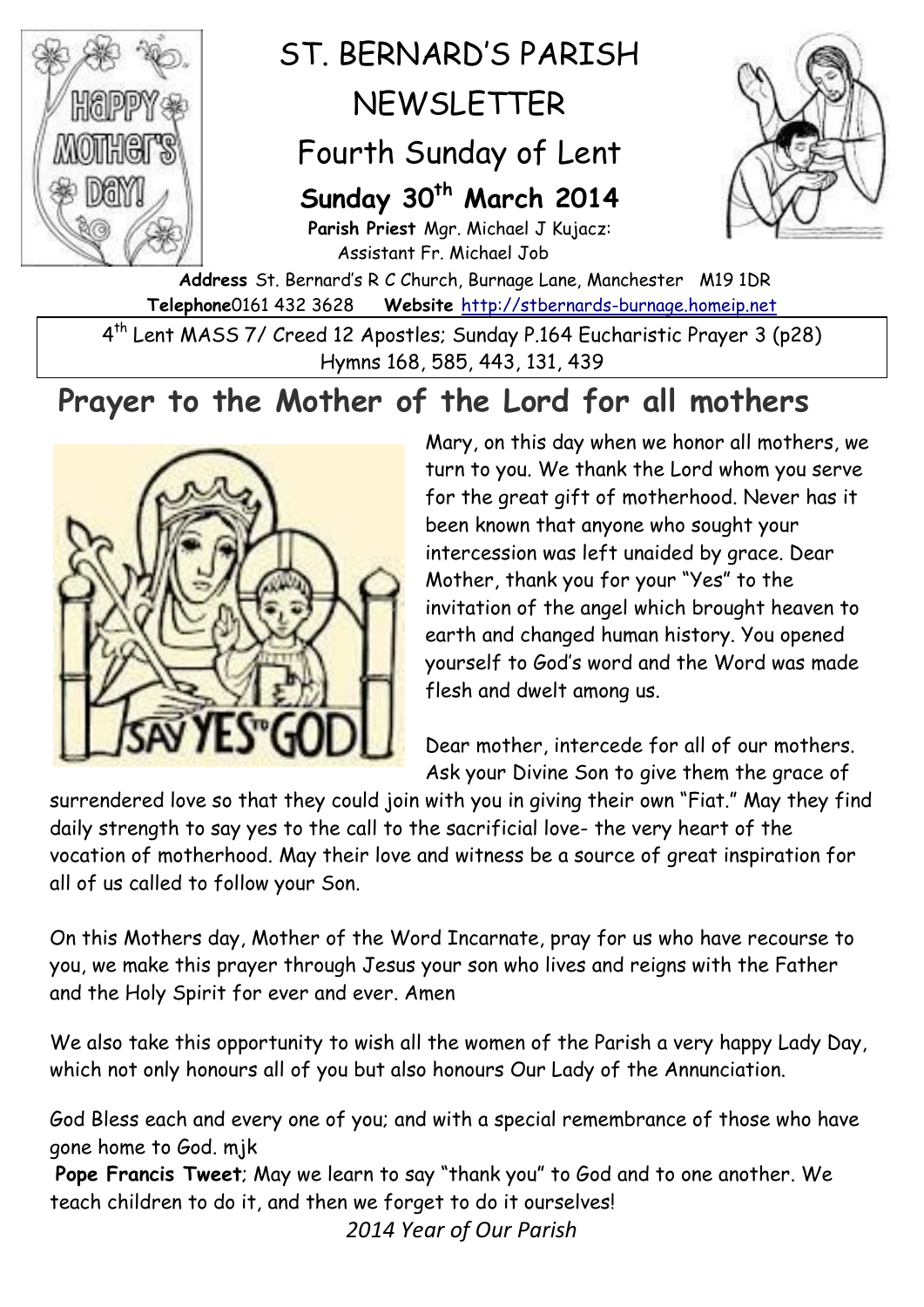

# ST. BERNARD'S PARISH NEWSLETTER

## Fourth Sunday of Lent

### **Sunday 30th March 2014**

**Parish Priest** Mgr. Michael J Kujacz: Assistant Fr. Michael Job



**Address** St. Bernard's R C Church, Burnage Lane, Manchester M19 1DR **Telephone**0161 432 3628 **Website** [http://stbernards-burnage.homeip.net](http://stbernards-burnage.homeip.net/)

4 th Lent MASS 7/ Creed 12 Apostles; Sunday P.164 Eucharistic Prayer 3 (p28) Hymns 168, 585, 443, 131, 439

## **Prayer to the Mother of the Lord for all mothers**



Mary, on this day when we honor all mothers, we turn to you. We thank the [Lord](http://www.catholic.org/encyclopedia/view.php?id=5217) whom you serve for the great gift of motherhood. Never has it been known that anyone who sought your [intercession](http://www.catholic.org/encyclopedia/view.php?id=6146) was left unaided by grace. Dear Mother, thank you for your "Yes" to the invitation of the [angel](http://www.catholic.org/encyclopedia/view.php?id=774) which brought [heaven](http://www.catholic.org/encyclopedia/view.php?id=5593) to earth and changed human history. You opened yourself to God's word and the Word was made flesh and dwelt among us.

Dear mother, intercede for all of our mothers. Ask your Divine Son to give them the [grace](http://www.catholic.org/encyclopedia/view.php?id=5305) of

surrendered love so that they could join with you in giving their own "Fiat." May they find daily [strength](http://www.catholic.org/prayers/prayer.php?p=2917) to say yes to the call to the sacrificial love- the very heart of the vocation of motherhood. May their love and [witness](http://www.catholic.org/encyclopedia/view.php?id=12423) be a source of great [inspiration](http://www.catholic.org/bookstore/?category=10) for all of us called to follow your Son.

On this Mothers day, Mother of the Word Incarnate, pray for us who have recourse to you, we make this prayer through Jesus your son who lives and reigns with the Father and the Holy Spirit for ever and ever. Amen

We also take this opportunity to wish all the women of the Parish a very happy Lady Day, which not only honours all of you but also honours Our Lady of the Annunciation.

God Bless each and every one of you; and with a special remembrance of those who have gone home to God. mjk

**Pope Francis Tweet**; May we learn to say "thank you" to God and to one another. We teach children to do it, and then we forget to do it ourselves! *2014 Year of Our Parish*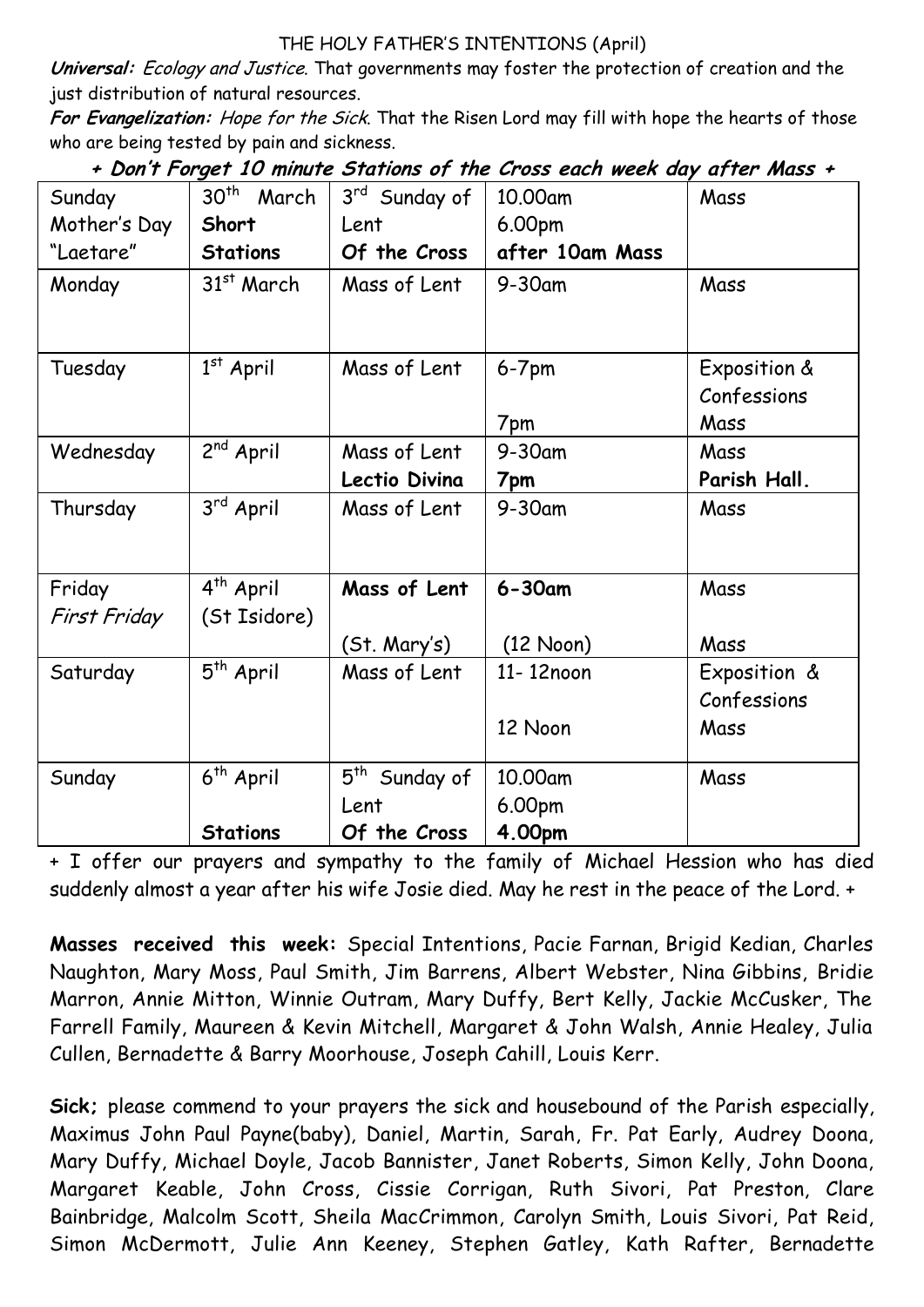#### THE HOLY FATHER'S INTENTIONS (April)

**Universal:** Ecology and Justice. That governments may foster the protection of creation and the just distribution of natural resources.

**For Evangelization:** Hope for the Sick. That the Risen Lord may fill with hope the hearts of those who are being tested by pain and sickness.

| Sunday       | 30 <sup>th</sup><br>March | 3rd Sunday of             | 10.00am         | Mass         |
|--------------|---------------------------|---------------------------|-----------------|--------------|
| Mother's Day | Short                     | Lent                      | 6.00pm          |              |
| "Laetare"    | <b>Stations</b>           | Of the Cross              | after 10am Mass |              |
| Monday       | 31 <sup>st</sup> March    | Mass of Lent              | $9-30$ am       | Mass         |
|              |                           |                           |                 |              |
| Tuesday      | $1st$ April               | Mass of Lent              | $6-7$ pm        | Exposition & |
|              |                           |                           |                 | Confessions  |
|              |                           |                           | 7pm             | Mass         |
| Wednesday    | 2 <sup>nd</sup> April     | Mass of Lent              | 9-30am          | Mass         |
|              |                           | Lectio Divina             | 7pm             | Parish Hall. |
| Thursday     | 3rd April                 | Mass of Lent              | $9-30$ am       | Mass         |
|              |                           |                           |                 |              |
| Friday       | 4 <sup>th</sup> April     | Mass of Lent              | $6 - 30$ am     | Mass         |
| First Friday | (St Isidore)              |                           |                 |              |
|              |                           | (St. Mary's)              | (12 Noon)       | Mass         |
| Saturday     | 5 <sup>th</sup> April     | Mass of Lent              | 11-12noon       | Exposition & |
|              |                           |                           |                 | Confessions  |
|              |                           |                           | 12 Noon         | Mass         |
| Sunday       | 6 <sup>th</sup> April     | 5 <sup>th</sup> Sunday of | 10.00am         | Mass         |
|              |                           | Lent                      | 6.00pm          |              |
|              | <b>Stations</b>           | Of the Cross              | 4.00pm          |              |

**+ Don't Forget 10 minute Stations of the Cross each week day after Mass +**

+ I offer our prayers and sympathy to the family of Michael Hession who has died suddenly almost a year after his wife Josie died. May he rest in the peace of the Lord. +

**Masses received this week:** Special Intentions, Pacie Farnan, Brigid Kedian, Charles Naughton, Mary Moss, Paul Smith, Jim Barrens, Albert Webster, Nina Gibbins, Bridie Marron, Annie Mitton, Winnie Outram, Mary Duffy, Bert Kelly, Jackie McCusker, The Farrell Family, Maureen & Kevin Mitchell, Margaret & John Walsh, Annie Healey, Julia Cullen, Bernadette & Barry Moorhouse, Joseph Cahill, Louis Kerr.

**Sick;** please commend to your prayers the sick and housebound of the Parish especially, Maximus John Paul Payne(baby), Daniel, Martin, Sarah, Fr. Pat Early, Audrey Doona, Mary Duffy, Michael Doyle, Jacob Bannister, Janet Roberts, Simon Kelly, John Doona, Margaret Keable, John Cross, Cissie Corrigan, Ruth Sivori, Pat Preston, Clare Bainbridge, Malcolm Scott, Sheila MacCrimmon, Carolyn Smith, Louis Sivori, Pat Reid, Simon McDermott, Julie Ann Keeney, Stephen Gatley, Kath Rafter, Bernadette